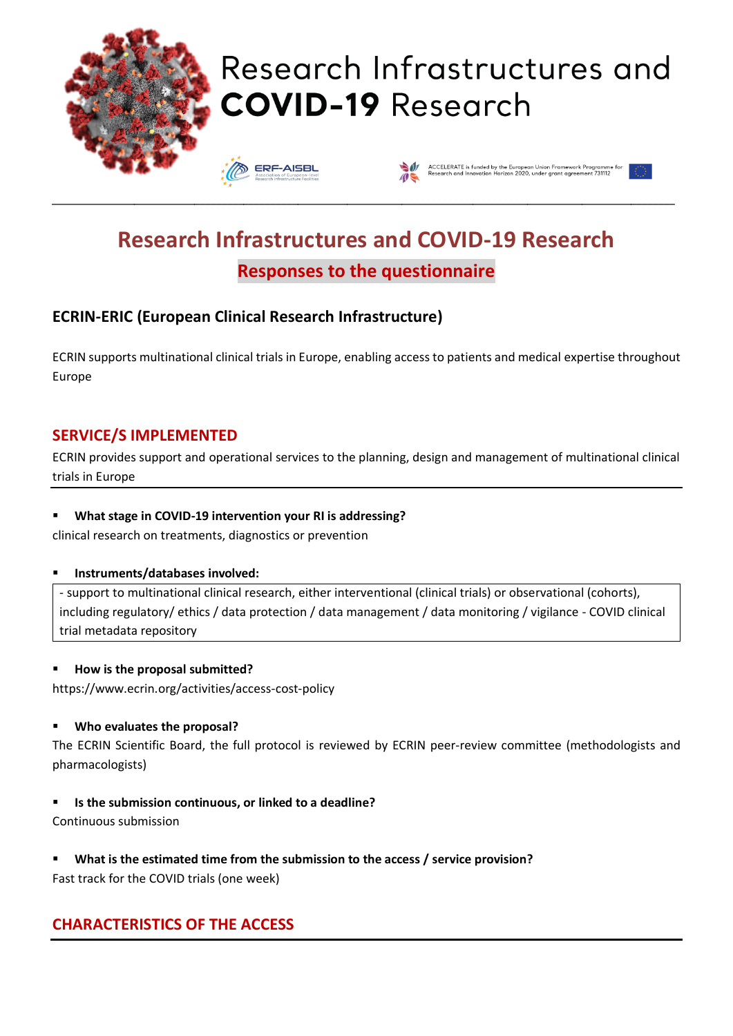

# Research Infrastructures and **COVID-19 Research**





# **Research Infrastructures and COVID-19 Research Responses to the questionnaire**

\_\_\_\_\_\_\_\_\_\_\_\_\_\_\_\_\_\_\_\_\_\_\_\_\_\_\_\_\_\_\_\_\_\_\_\_\_\_\_\_\_\_\_\_\_\_\_\_\_\_\_\_\_\_\_\_\_\_\_\_\_\_\_\_\_\_\_\_\_\_\_\_\_\_\_\_\_\_\_\_\_\_\_\_\_\_\_\_\_\_\_\_\_\_\_\_\_\_\_\_\_\_\_\_\_\_\_\_\_\_\_\_\_\_

# **ECRIN-ERIC (European Clinical Research Infrastructure)**

ECRIN supports multinational clinical trials in Europe, enabling access to patients and medical expertise throughout Europe

### **SERVICE/S IMPLEMENTED**

ECRIN provides support and operational services to the planning, design and management of multinational clinical trials in Europe

#### ▪ **What stage in COVID-19 intervention your RI is addressing?**

clinical research on treatments, diagnostics or prevention

#### ▪ **Instruments/databases involved:**

- support to multinational clinical research, either interventional (clinical trials) or observational (cohorts), including regulatory/ ethics / data protection / data management / data monitoring / vigilance - COVID clinical trial metadata repository

#### ▪ **How is the proposal submitted?**

https://www.ecrin.org/activities/access-cost-policy

#### ▪ **Who evaluates the proposal?**

The ECRIN Scientific Board, the full protocol is reviewed by ECRIN peer-review committee (methodologists and pharmacologists)

▪ **Is the submission continuous, or linked to a deadline?**

Continuous submission

▪ **What is the estimated time from the submission to the access / service provision?**

Fast track for the COVID trials (one week)

# **CHARACTERISTICS OF THE ACCESS**